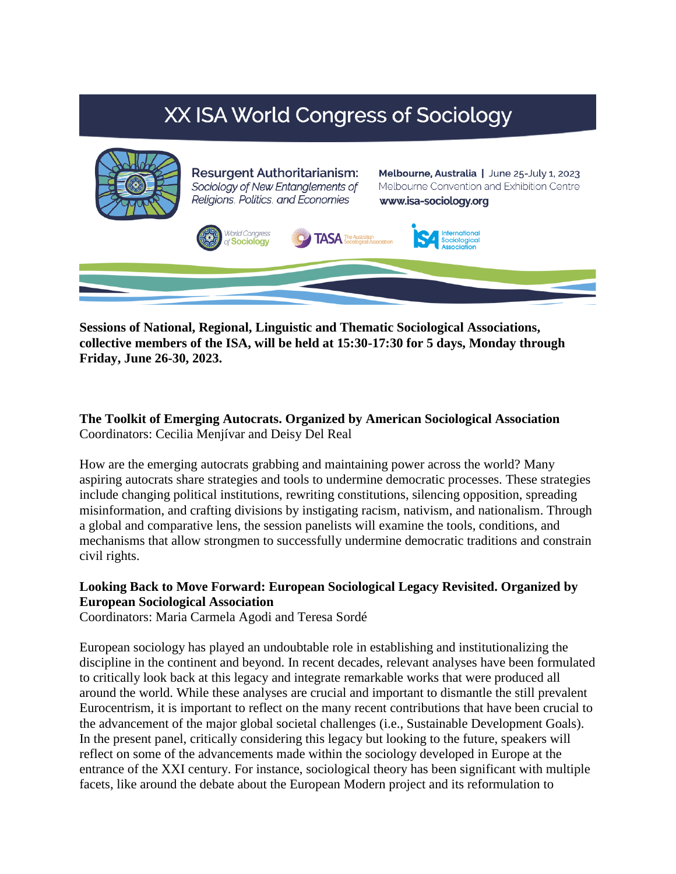# **XX ISA World Congress of Sociology**



**Sessions of National, Regional, Linguistic and Thematic Sociological Associations, collective members of the ISA, will be held at 15:30-17:30 for 5 days, Monday through Friday, June 26-30, 2023.** 

**The Toolkit of Emerging Autocrats. Organized by American Sociological Association** Coordinators: Cecilia Menjívar and Deisy Del Real

How are the emerging autocrats grabbing and maintaining power across the world? Many aspiring autocrats share strategies and tools to undermine democratic processes. These strategies include changing political institutions, rewriting constitutions, silencing opposition, spreading misinformation, and crafting divisions by instigating racism, nativism, and nationalism. Through a global and comparative lens, the session panelists will examine the tools, conditions, and mechanisms that allow strongmen to successfully undermine democratic traditions and constrain civil rights.

## **Looking Back to Move Forward: European Sociological Legacy Revisited. Organized by European Sociological Association**

Coordinators: Maria Carmela Agodi and Teresa Sordé

European sociology has played an undoubtable role in establishing and institutionalizing the discipline in the continent and beyond. In recent decades, relevant analyses have been formulated to critically look back at this legacy and integrate remarkable works that were produced all around the world. While these analyses are crucial and important to dismantle the still prevalent Eurocentrism, it is important to reflect on the many recent contributions that have been crucial to the advancement of the major global societal challenges (i.e., Sustainable Development Goals). In the present panel, critically considering this legacy but looking to the future, speakers will reflect on some of the advancements made within the sociology developed in Europe at the entrance of the XXI century. For instance, sociological theory has been significant with multiple facets, like around the debate about the European Modern project and its reformulation to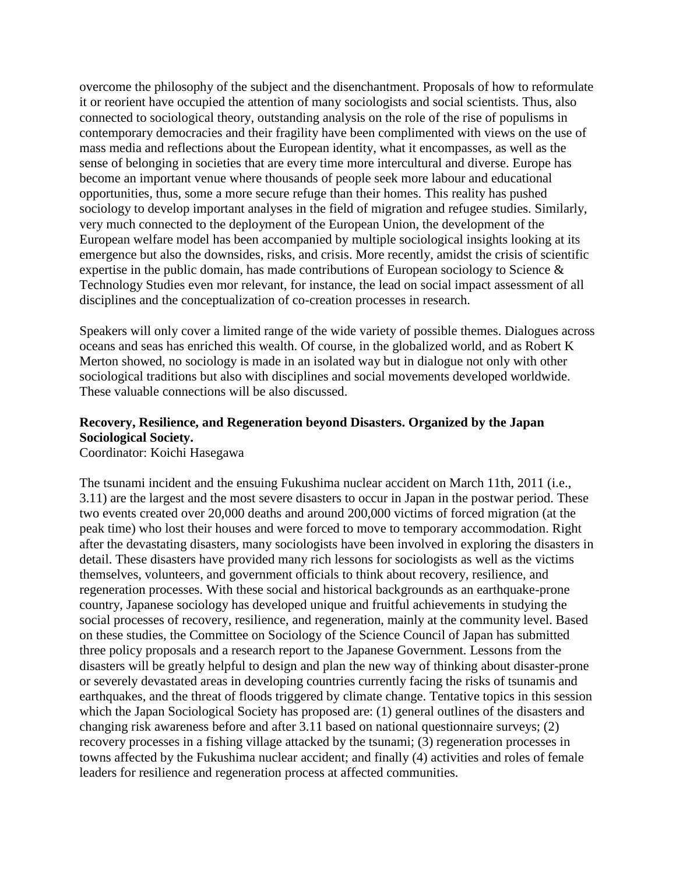overcome the philosophy of the subject and the disenchantment. Proposals of how to reformulate it or reorient have occupied the attention of many sociologists and social scientists. Thus, also connected to sociological theory, outstanding analysis on the role of the rise of populisms in contemporary democracies and their fragility have been complimented with views on the use of mass media and reflections about the European identity, what it encompasses, as well as the sense of belonging in societies that are every time more intercultural and diverse. Europe has become an important venue where thousands of people seek more labour and educational opportunities, thus, some a more secure refuge than their homes. This reality has pushed sociology to develop important analyses in the field of migration and refugee studies. Similarly, very much connected to the deployment of the European Union, the development of the European welfare model has been accompanied by multiple sociological insights looking at its emergence but also the downsides, risks, and crisis. More recently, amidst the crisis of scientific expertise in the public domain, has made contributions of European sociology to Science & Technology Studies even mor relevant, for instance, the lead on social impact assessment of all disciplines and the conceptualization of co-creation processes in research.

Speakers will only cover a limited range of the wide variety of possible themes. Dialogues across oceans and seas has enriched this wealth. Of course, in the globalized world, and as Robert K Merton showed, no sociology is made in an isolated way but in dialogue not only with other sociological traditions but also with disciplines and social movements developed worldwide. These valuable connections will be also discussed.

# **Recovery, Resilience, and Regeneration beyond Disasters. Organized by the Japan Sociological Society.**

Coordinator: Koichi Hasegawa

The tsunami incident and the ensuing Fukushima nuclear accident on March 11th, 2011 (i.e., 3.11) are the largest and the most severe disasters to occur in Japan in the postwar period. These two events created over 20,000 deaths and around 200,000 victims of forced migration (at the peak time) who lost their houses and were forced to move to temporary accommodation. Right after the devastating disasters, many sociologists have been involved in exploring the disasters in detail. These disasters have provided many rich lessons for sociologists as well as the victims themselves, volunteers, and government officials to think about recovery, resilience, and regeneration processes. With these social and historical backgrounds as an earthquake-prone country, Japanese sociology has developed unique and fruitful achievements in studying the social processes of recovery, resilience, and regeneration, mainly at the community level. Based on these studies, the Committee on Sociology of the Science Council of Japan has submitted three policy proposals and a research report to the Japanese Government. Lessons from the disasters will be greatly helpful to design and plan the new way of thinking about disaster-prone or severely devastated areas in developing countries currently facing the risks of tsunamis and earthquakes, and the threat of floods triggered by climate change. Tentative topics in this session which the Japan Sociological Society has proposed are: (1) general outlines of the disasters and changing risk awareness before and after 3.11 based on national questionnaire surveys; (2) recovery processes in a fishing village attacked by the tsunami; (3) regeneration processes in towns affected by the Fukushima nuclear accident; and finally (4) activities and roles of female leaders for resilience and regeneration process at affected communities.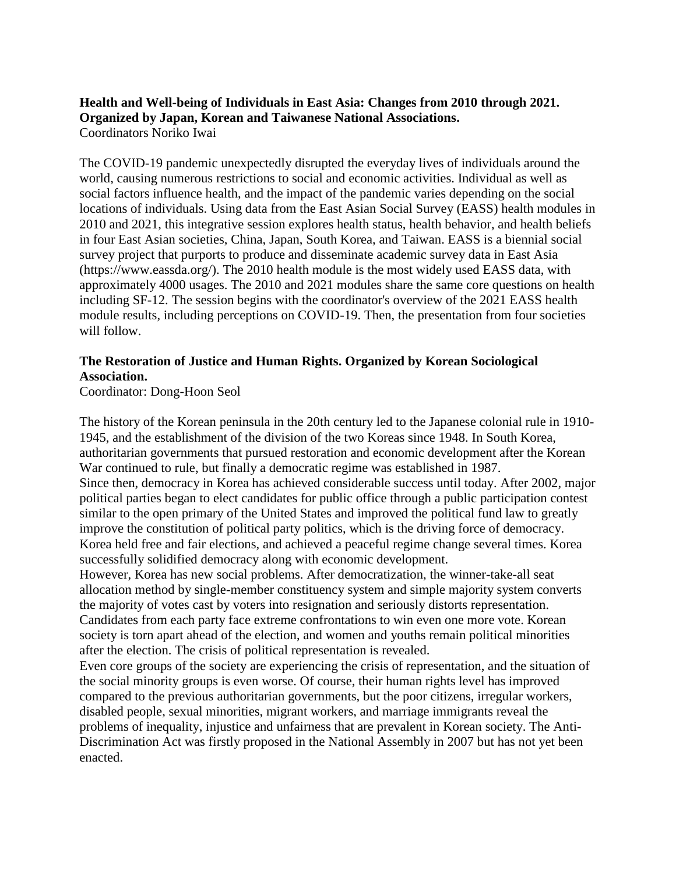#### **Health and Well-being of Individuals in East Asia: Changes from 2010 through 2021. Organized by Japan, Korean and Taiwanese National Associations.** Coordinators Noriko Iwai

The COVID-19 pandemic unexpectedly disrupted the everyday lives of individuals around the world, causing numerous restrictions to social and economic activities. Individual as well as social factors influence health, and the impact of the pandemic varies depending on the social locations of individuals. Using data from the East Asian Social Survey (EASS) health modules in 2010 and 2021, this integrative session explores health status, health behavior, and health beliefs in four East Asian societies, China, Japan, South Korea, and Taiwan. EASS is a biennial social survey project that purports to produce and disseminate academic survey data in East Asia (https://www.eassda.org/). The 2010 health module is the most widely used EASS data, with approximately 4000 usages. The 2010 and 2021 modules share the same core questions on health including SF-12. The session begins with the coordinator's overview of the 2021 EASS health module results, including perceptions on COVID-19. Then, the presentation from four societies will follow.

## **The Restoration of Justice and Human Rights. Organized by Korean Sociological Association.**

Coordinator: Dong-Hoon Seol

The history of the Korean peninsula in the 20th century led to the Japanese colonial rule in 1910- 1945, and the establishment of the division of the two Koreas since 1948. In South Korea, authoritarian governments that pursued restoration and economic development after the Korean War continued to rule, but finally a democratic regime was established in 1987. Since then, democracy in Korea has achieved considerable success until today. After 2002, major political parties began to elect candidates for public office through a public participation contest similar to the open primary of the United States and improved the political fund law to greatly improve the constitution of political party politics, which is the driving force of democracy. Korea held free and fair elections, and achieved a peaceful regime change several times. Korea successfully solidified democracy along with economic development.

However, Korea has new social problems. After democratization, the winner-take-all seat allocation method by single-member constituency system and simple majority system converts the majority of votes cast by voters into resignation and seriously distorts representation. Candidates from each party face extreme confrontations to win even one more vote. Korean society is torn apart ahead of the election, and women and youths remain political minorities after the election. The crisis of political representation is revealed.

Even core groups of the society are experiencing the crisis of representation, and the situation of the social minority groups is even worse. Of course, their human rights level has improved compared to the previous authoritarian governments, but the poor citizens, irregular workers, disabled people, sexual minorities, migrant workers, and marriage immigrants reveal the problems of inequality, injustice and unfairness that are prevalent in Korean society. The Anti-Discrimination Act was firstly proposed in the National Assembly in 2007 but has not yet been enacted.